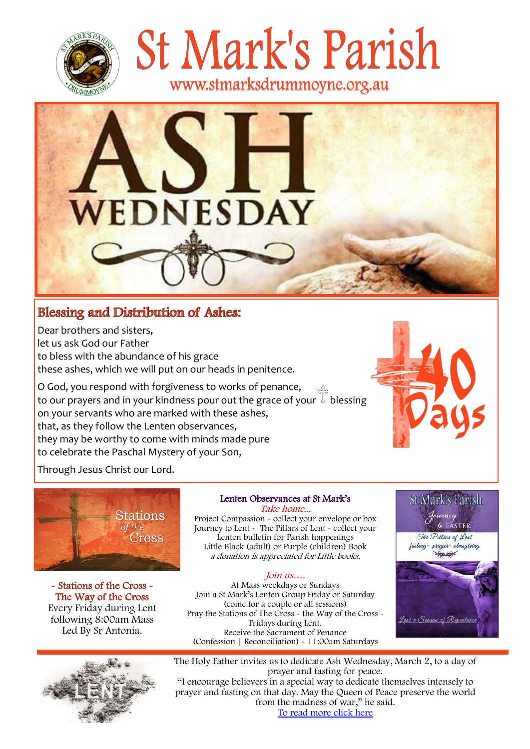

St Mark's Parish www.stmarksdrummoyne.org.au

# **EDNESDAY**

## **Blessing and Distribution of Ashes:**

Dear brothers and sisters, let us ask God our Father to bless with the abundance of his grace these ashes, which we will put on our heads in penitence.

O God, you respond with forgiveness to works of penance, to our prayers and in your kindness pour out the grace of your blessing on your servants who are marked with these ashes, that, as they follow the Lenten observances, they may be worthy to come with minds made pure to celebrate the Paschal Mystery of your Son,



Through Jesus Christ our Lord.



- Stations of the Cross - The Way of the Cross Every Friday during Lent following 8:00am Mass Led By Sr Antonia.



## Lenten Observances at St Mark's Take home...

Project Compassion - collect your envelope or box Journey to Lent - The Pillars of Lent - collect your Lenten bulletin for Parish happenings Little Black (adult) or Purple (children) Book a donation is appreciated for Little books.

## Join us….

At Mass weekdays or Sundays Join a St Mark's Lenten Group Friday or Saturday (come for a couple or all sessions) Pray the Stations of The Cross - the Way of the Cross - Fridays during Lent. Receive the Sacrament of Penance (Confession | Reconciliation) - 11:00am Saturdays



The Holy Father invites us to dedicate Ash Wednesday, March 2, to a day of prayer and fasting for peace.

"I encourage believers in a special way to dedicate themselves intensely to prayer and fasting on that day. May the Queen of Peace preserve the world from the madness of war," he said. [To read more click here](https://www.vaticannews.va/en/pope/news/2022-02/pope-announces-2-march-as-day-of-prayer-and-fasting-for-ukraine.html)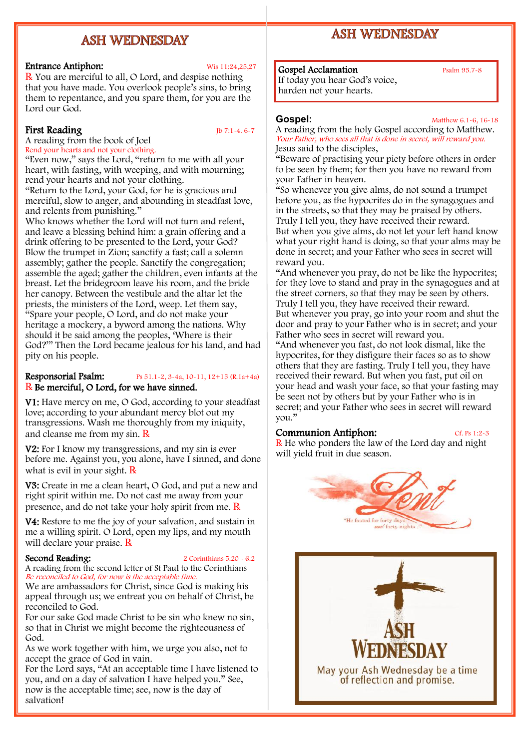## **ASH WEDNESDAY**

## Entrance Antiphon: Wis 11:24,25,27

℞ You are merciful to all, O Lord, and despise nothing that you have made. You overlook people's sins, to bring them to repentance, and you spare them, for you are the Lord our God.

## First Reading Jb 7:1-4. 6-7

A reading from the book of Joel Rend your hearts and not your clothing.

"Even now," says the Lord, "return to me with all your heart, with fasting, with weeping, and with mourning; rend your hearts and not your clothing.

"Return to the Lord, your God, for he is gracious and merciful, slow to anger, and abounding in steadfast love, and relents from punishing."

Who knows whether the Lord will not turn and relent, and leave a blessing behind him: a grain offering and a drink offering to be presented to the Lord, your God? Blow the trumpet in Zion; sanctify a fast; call a solemn assembly; gather the people. Sanctify the congregation; assemble the aged; gather the children, even infants at the breast. Let the bridegroom leave his room, and the bride her canopy. Between the vestibule and the altar let the priests, the ministers of the Lord, weep. Let them say, "Spare your people, O Lord, and do not make your heritage a mockery, a byword among the nations. Why should it be said among the peoples, 'Where is their God?'" Then the Lord became jealous for his land, and had pity on his people.

## Responsorial Psalm: Ps 51.1-2, 3-4a, 10-11, 12+15 (R.1a+4a) R Be merciful, O Lord, for we have sinned.

V1: Have mercy on me, O God, according to your steadfast love; according to your abundant mercy blot out my transgressions. Wash me thoroughly from my iniquity, and cleanse me from my sin.  $\bf{R}$ 

V2: For I know my transgressions, and my sin is ever before me. Against you, you alone, have I sinned, and done what is evil in your sight.  $\bf R$ 

V3: Create in me a clean heart, O God, and put a new and right spirit within me. Do not cast me away from your presence, and do not take your holy spirit from me.  $\bf{R}$ 

V4: Restore to me the joy of your salvation, and sustain in me a willing spirit. O Lord, open my lips, and my mouth will declare your praise. R

Second Reading: 2 Corinthians 5.20 - 6.2

A reading from the second letter of St Paul to the Corinthians Be reconciled to God, for now is the acceptable time.

We are ambassadors for Christ, since God is making his appeal through us; we entreat you on behalf of Christ, be reconciled to God.

For our sake God made Christ to be sin who knew no sin, so that in Christ we might become the righteousness of God.

As we work together with him, we urge you also, not to accept the grace of God in vain.

For the Lord says, "At an acceptable time I have listened to you, and on a day of salvation I have helped you." See, now is the acceptable time; see, now is the day of salvation!

## **ASH WEDNESDAY**

## Gospel Acclamation Psalm 95.7-8

If today you hear God's voice, harden not your hearts.

**Gospel:** Matthew 6.1-6, 16-18 A reading from the holy Gospel according to Matthew. Your Father, who sees all that is done in secret, will reward you. Jesus said to the disciples,

"Beware of practising your piety before others in order to be seen by them; for then you have no reward from your Father in heaven.

"So whenever you give alms, do not sound a trumpet before you, as the hypocrites do in the synagogues and in the streets, so that they may be praised by others. Truly I tell you, they have received their reward. But when you give alms, do not let your left hand know what your right hand is doing, so that your alms may be done in secret; and your Father who sees in secret will reward you.

"And whenever you pray, do not be like the hypocrites; for they love to stand and pray in the synagogues and at the street corners, so that they may be seen by others. Truly I tell you, they have received their reward. But whenever you pray, go into your room and shut the door and pray to your Father who is in secret; and your Father who sees in secret will reward you.

"And whenever you fast, do not look dismal, like the hypocrites, for they disfigure their faces so as to show others that they are fasting. Truly I tell you, they have received their reward. But when you fast, put oil on your head and wash your face, so that your fasting may be seen not by others but by your Father who is in secret; and your Father who sees in secret will reward you."

## Communion Antiphon: Cf. Ps 1:2-3

℞ He who ponders the law of the Lord day and night will yield fruit in due season.

## "He fasted for forty da and forty nights

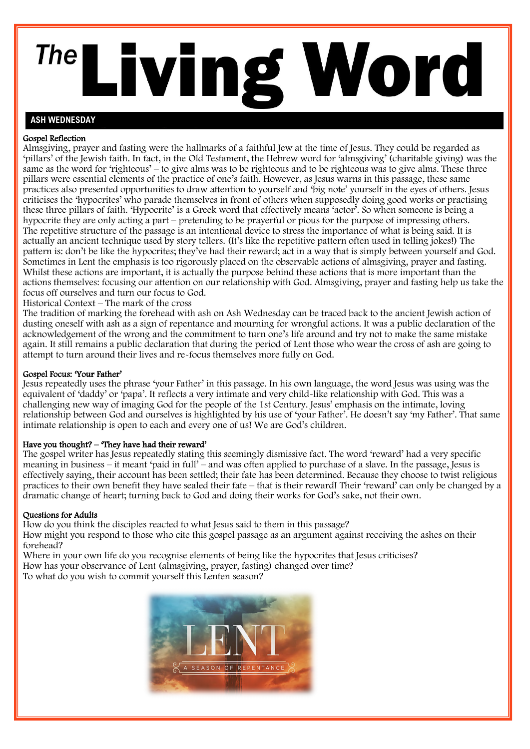## The Living Word

## **ASH WEDNESDAY**

## Gospel Reflection

Almsgiving, prayer and fasting were the hallmarks of a faithful Jew at the time of Jesus. They could be regarded as 'pillars' of the Jewish faith. In fact, in the Old Testament, the Hebrew word for 'almsgiving' (charitable giving) was the same as the word for 'righteous' – to give alms was to be righteous and to be righteous was to give alms. These three pillars were essential elements of the practice of one's faith. However, as Jesus warns in this passage, these same practices also presented opportunities to draw attention to yourself and 'big note' yourself in the eyes of others. Jesus criticises the 'hypocrites' who parade themselves in front of others when supposedly doing good works or practising these three pillars of faith. 'Hypocrite' is a Greek word that effectively means 'actor'. So when someone is being a hypocrite they are only acting a part – pretending to be prayerful or pious for the purpose of impressing others. The repetitive structure of the passage is an intentional device to stress the importance of what is being said. It is actually an ancient technique used by story tellers. (It's like the repetitive pattern often used in telling jokes!) The pattern is: don't be like the hypocrites; they've had their reward; act in a way that is simply between yourself and God. Sometimes in Lent the emphasis is too rigorously placed on the observable actions of almsgiving, prayer and fasting. Whilst these actions are important, it is actually the purpose behind these actions that is more important than the actions themselves: focusing our attention on our relationship with God. Almsgiving, prayer and fasting help us take the focus off ourselves and turn our focus to God.

Historical Context – The mark of the cross

The tradition of marking the forehead with ash on Ash Wednesday can be traced back to the ancient Jewish action of dusting oneself with ash as a sign of repentance and mourning for wrongful actions. It was a public declaration of the acknowledgement of the wrong and the commitment to turn one's life around and try not to make the same mistake again. It still remains a public declaration that during the period of Lent those who wear the cross of ash are going to attempt to turn around their lives and re-focus themselves more fully on God.

## Gospel Focus: 'Your Father'

Jesus repeatedly uses the phrase 'your Father' in this passage. In his own language, the word Jesus was using was the equivalent of 'daddy' or 'papa'. It reflects a very intimate and very child-like relationship with God. This was a challenging new way of imaging God for the people of the 1st Century. Jesus' emphasis on the intimate, loving relationship between God and ourselves is highlighted by his use of 'your Father'. He doesn't say 'my Father'. That same intimate relationship is open to each and every one of us! We are God's children.

## Have you thought? – 'They have had their reward'

The gospel writer has Jesus repeatedly stating this seemingly dismissive fact. The word 'reward' had a very specific meaning in business – it meant 'paid in full' – and was often applied to purchase of a slave. In the passage, Jesus is effectively saying, their account has been settled; their fate has been determined. Because they choose to twist religious practices to their own benefit they have sealed their fate – that is their reward! Their 'reward' can only be changed by a dramatic change of heart; turning back to God and doing their works for God's sake, not their own.

## Questions for Adults

How do you think the disciples reacted to what Jesus said to them in this passage? How might you respond to those who cite this gospel passage as an argument against receiving the ashes on their forehead?

Where in your own life do you recognise elements of being like the hypocrites that Jesus criticises? How has your observance of Lent (almsgiving, prayer, fasting) changed over time? To what do you wish to commit yourself this Lenten season?